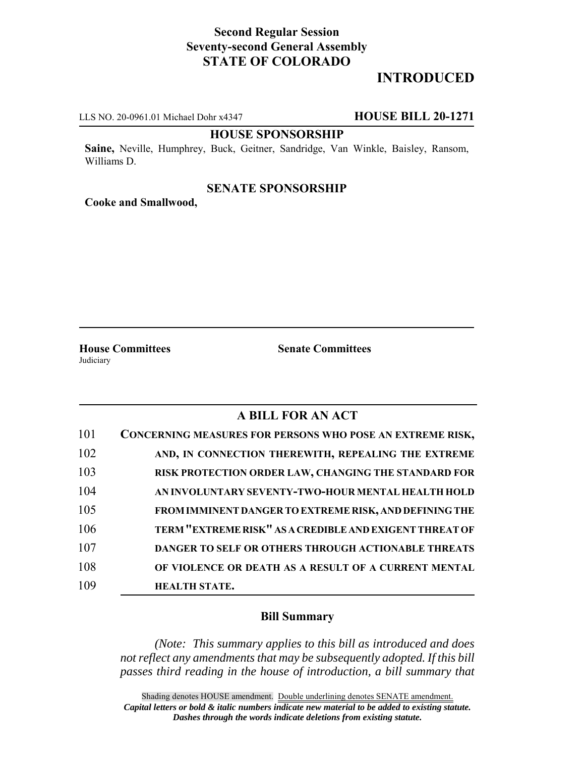# **Second Regular Session Seventy-second General Assembly STATE OF COLORADO**

# **INTRODUCED**

LLS NO. 20-0961.01 Michael Dohr x4347 **HOUSE BILL 20-1271**

### **HOUSE SPONSORSHIP**

**Saine,** Neville, Humphrey, Buck, Geitner, Sandridge, Van Winkle, Baisley, Ransom, Williams D.

#### **SENATE SPONSORSHIP**

**Cooke and Smallwood,**

Judiciary

**House Committees Senate Committees**

## **A BILL FOR AN ACT**

| 101 | CONCERNING MEASURES FOR PERSONS WHO POSE AN EXTREME RISK, |
|-----|-----------------------------------------------------------|
| 102 | AND, IN CONNECTION THEREWITH, REPEALING THE EXTREME       |
| 103 | RISK PROTECTION ORDER LAW, CHANGING THE STANDARD FOR      |
| 104 | AN INVOLUNTARY SEVENTY-TWO-HOUR MENTAL HEALTH HOLD        |
| 105 | FROM IMMINENT DANGER TO EXTREME RISK, AND DEFINING THE    |
| 106 | TERM "EXTREME RISK" AS A CREDIBLE AND EXIGENT THREAT OF   |
| 107 | DANGER TO SELF OR OTHERS THROUGH ACTIONABLE THREATS       |
| 108 | OF VIOLENCE OR DEATH AS A RESULT OF A CURRENT MENTAL      |
| 109 | <b>HEALTH STATE.</b>                                      |

### **Bill Summary**

*(Note: This summary applies to this bill as introduced and does not reflect any amendments that may be subsequently adopted. If this bill passes third reading in the house of introduction, a bill summary that*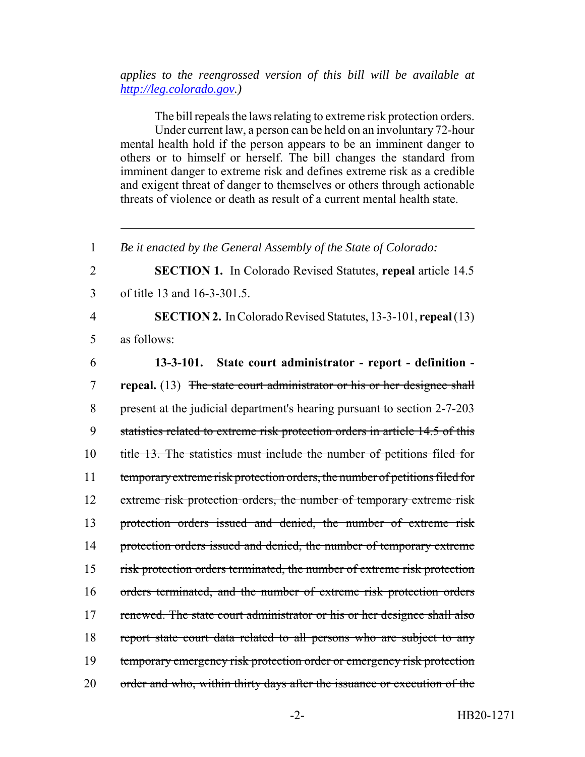## *applies to the reengrossed version of this bill will be available at http://leg.colorado.gov.)*

The bill repeals the laws relating to extreme risk protection orders. Under current law, a person can be held on an involuntary 72-hour mental health hold if the person appears to be an imminent danger to others or to himself or herself. The bill changes the standard from imminent danger to extreme risk and defines extreme risk as a credible and exigent threat of danger to themselves or others through actionable threats of violence or death as result of a current mental health state.

1 *Be it enacted by the General Assembly of the State of Colorado:*

2 **SECTION 1.** In Colorado Revised Statutes, **repeal** article 14.5 3 of title 13 and 16-3-301.5.

4 **SECTION 2.** In Colorado Revised Statutes, 13-3-101, **repeal** (13) 5 as follows:

6 **13-3-101. State court administrator - report - definition -** 7 **repeal.** (13) The state court administrator or his or her designee shall 8 present at the judicial department's hearing pursuant to section 2-7-203 9 statistics related to extreme risk protection orders in article 14.5 of this 10 title 13. The statistics must include the number of petitions filed for 11 temporary extreme risk protection orders, the number of petitions filed for 12 extreme risk protection orders, the number of temporary extreme risk 13 protection orders issued and denied, the number of extreme risk 14 protection orders issued and denied, the number of temporary extreme 15 risk protection orders terminated, the number of extreme risk protection 16 orders terminated, and the number of extreme risk protection orders 17 renewed. The state court administrator or his or her designee shall also 18 report state court data related to all persons who are subject to any 19 temporary emergency risk protection order or emergency risk protection 20 order and who, within thirty days after the issuance or execution of the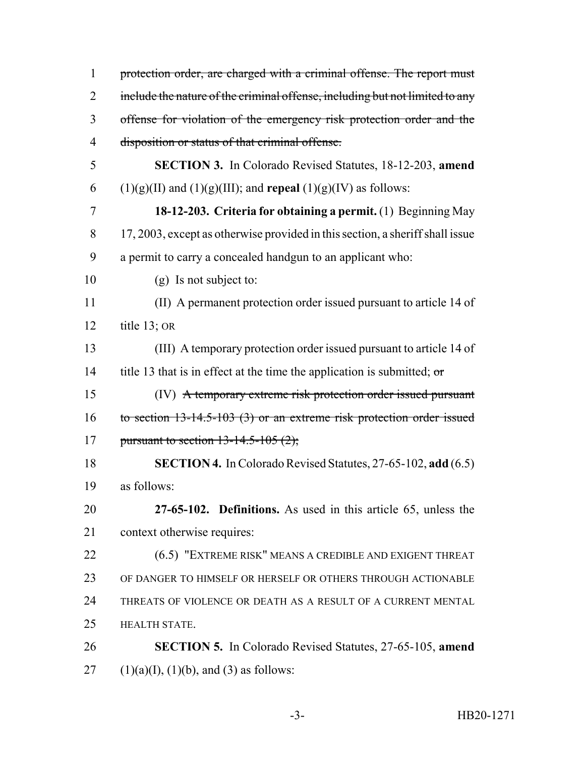| $\mathbf{1}$   | protection order, are charged with a criminal offense. The report must        |
|----------------|-------------------------------------------------------------------------------|
| $\overline{2}$ | include the nature of the criminal offense, including but not limited to any  |
| 3              | offense for violation of the emergency risk protection order and the          |
| 4              | disposition or status of that criminal offense.                               |
| 5              | <b>SECTION 3.</b> In Colorado Revised Statutes, 18-12-203, amend              |
| 6              | $(1)(g)(II)$ and $(1)(g)(III)$ ; and <b>repeal</b> $(1)(g)(IV)$ as follows:   |
| 7              | 18-12-203. Criteria for obtaining a permit. (1) Beginning May                 |
| 8              | 17, 2003, except as otherwise provided in this section, a sheriff shall issue |
| 9              | a permit to carry a concealed handgun to an applicant who:                    |
| 10             | (g) Is not subject to:                                                        |
| 11             | (II) A permanent protection order issued pursuant to article 14 of            |
| 12             | title $13$ ; OR                                                               |
| 13             | (III) A temporary protection order issued pursuant to article 14 of           |
| 14             | title 13 that is in effect at the time the application is submitted; $\sigma$ |
| 15             | (IV) A temporary extreme risk protection order issued pursuant                |
| 16             | to section $13-14.5-103$ (3) or an extreme risk protection order issued       |
| 17             | pursuant to section $13-14.5-105(2)$ ;                                        |
| 18             | <b>SECTION 4.</b> In Colorado Revised Statutes, 27-65-102, add (6.5)          |
| 19             | as follows:                                                                   |
| 20             | 27-65-102. Definitions. As used in this article 65, unless the                |
| 21             | context otherwise requires:                                                   |
| 22             | (6.5) "EXTREME RISK" MEANS A CREDIBLE AND EXIGENT THREAT                      |
| 23             | OF DANGER TO HIMSELF OR HERSELF OR OTHERS THROUGH ACTIONABLE                  |
| 24             | THREATS OF VIOLENCE OR DEATH AS A RESULT OF A CURRENT MENTAL                  |
| 25             | HEALTH STATE.                                                                 |
| 26             | <b>SECTION 5.</b> In Colorado Revised Statutes, 27-65-105, amend              |
| 27             | $(1)(a)(I), (1)(b), and (3)$ as follows:                                      |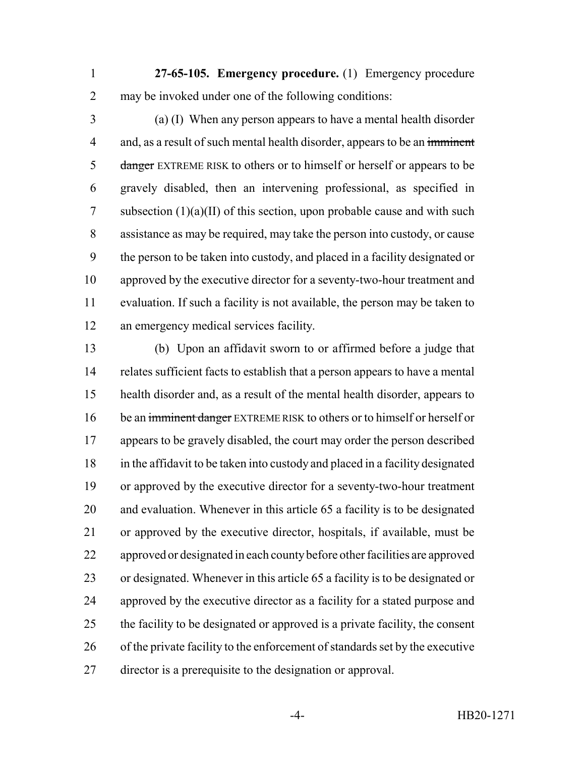**27-65-105. Emergency procedure.** (1) Emergency procedure may be invoked under one of the following conditions:

 (a) (I) When any person appears to have a mental health disorder 4 and, as a result of such mental health disorder, appears to be an imminent 5 danger EXTREME RISK to others or to himself or herself or appears to be gravely disabled, then an intervening professional, as specified in subsection (1)(a)(II) of this section, upon probable cause and with such assistance as may be required, may take the person into custody, or cause the person to be taken into custody, and placed in a facility designated or approved by the executive director for a seventy-two-hour treatment and evaluation. If such a facility is not available, the person may be taken to an emergency medical services facility.

 (b) Upon an affidavit sworn to or affirmed before a judge that relates sufficient facts to establish that a person appears to have a mental health disorder and, as a result of the mental health disorder, appears to 16 be an imminent danger EXTREME RISK to others or to himself or herself or appears to be gravely disabled, the court may order the person described in the affidavit to be taken into custody and placed in a facility designated or approved by the executive director for a seventy-two-hour treatment and evaluation. Whenever in this article 65 a facility is to be designated or approved by the executive director, hospitals, if available, must be approved or designated in each county before other facilities are approved or designated. Whenever in this article 65 a facility is to be designated or approved by the executive director as a facility for a stated purpose and the facility to be designated or approved is a private facility, the consent of the private facility to the enforcement of standards set by the executive director is a prerequisite to the designation or approval.